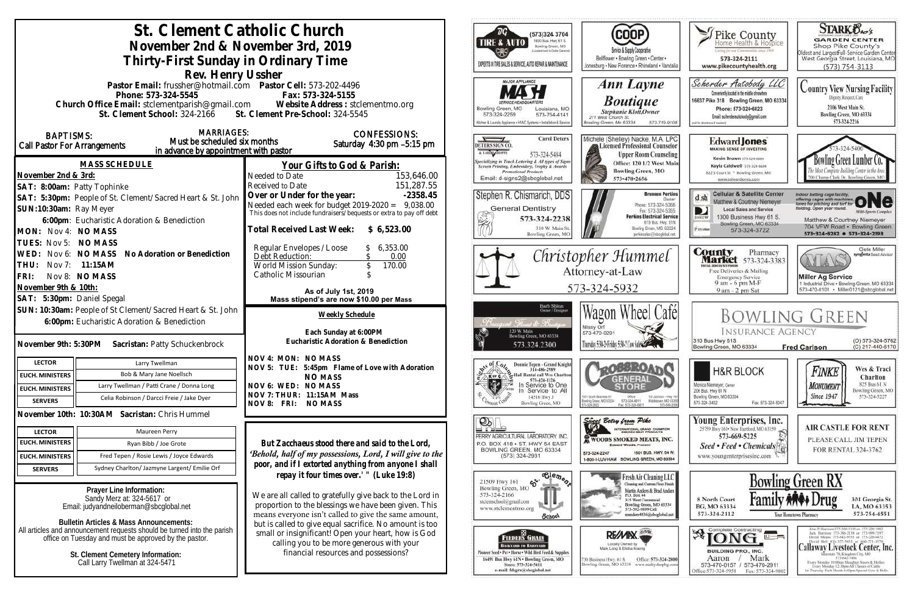| St. Clement Catholic Church<br>November 2nd & November 3rd, 2019<br>Thirty-First Sunday in Ordinary Time                                                                                                                                                                                 | (573)324 3704<br>1400 Bus. Hwy 61 S.<br><b>TIRE &amp; AUTO</b><br>Bowling Green, MO<br>picated reset to Dallar General<br>EXPERTS IN TIRE SALES & SERVICE, AUTO REPAIR & MAINTENANCE                                                               | COOP)<br>Service & Supply Cooperative<br>Bellflower . Bowling Green . Center .<br>Jonesburg . New Florence . Rhineland . Vandalia                                                                                                                      | Fike County<br>aring for our Communities smot 1969<br>573-324-2111<br>www.pikecountyhealth.org                                                                                                                | <b>STARK Oxo's</b><br><b>GARDEN CENTER</b><br>Shop Pike County's<br>Oldest and LargestFull-Service Garden Center<br>West Georgia Street, Louisiana, MO<br>$(573) 754 - 3113$                                             |                                                                                                                                                                                                                                                                                                                                                                                                                                  |
|------------------------------------------------------------------------------------------------------------------------------------------------------------------------------------------------------------------------------------------------------------------------------------------|----------------------------------------------------------------------------------------------------------------------------------------------------------------------------------------------------------------------------------------------------|--------------------------------------------------------------------------------------------------------------------------------------------------------------------------------------------------------------------------------------------------------|---------------------------------------------------------------------------------------------------------------------------------------------------------------------------------------------------------------|--------------------------------------------------------------------------------------------------------------------------------------------------------------------------------------------------------------------------|----------------------------------------------------------------------------------------------------------------------------------------------------------------------------------------------------------------------------------------------------------------------------------------------------------------------------------------------------------------------------------------------------------------------------------|
| Rev. Henry Ussher<br>Pastor Email: frussher@hotmail.com    Pastor Cell: 573-202-4496<br>Phone: 573-324-5545<br>Fax: 573-324-5155<br>Church Office Email: stclementparish@gmail.com Website Address : stclementmo.org<br>St. Clement Pre-School: 324-5545<br>St. Clement School: 324-2166 |                                                                                                                                                                                                                                                    | MAJOR APPLIANCE<br>Bowling Green, MO<br>Louisiana, MO<br>573-324-2259<br>573-754-4141<br>Rchen & Launchy Appliance . HVAC Systems . Installation & Service                                                                                             | Ann Layne<br><b>Boutique</b><br>Stephanie Klott, Owner<br>211 West Church St.<br>Bowling Green, Mo 63334<br>573-719-9108                                                                                      | Scherder Autobody LLC<br>Conveniently located in the middle of nowhere<br>16637 Pike 318 Bowling Green, MO 63334<br>Phone: 573+324+6023<br>Email: scherderautobody@gmail.com<br>call for directions if needed,           | <b>Country View Nursing Facility</b><br>Dignity, Respect, Care<br>2106 West Main St.<br>Bowling Green, MO 63334<br>573-324-2216                                                                                                                                                                                                                                                                                                  |
| <b>MARRIAGES:</b><br><b>BAPTISMS:</b><br>Must be scheduled six months<br>Call Pastor For Arrangements<br>in advance by appointment with pastor<br><b>MASS SCHEDULE</b><br>November 2nd & 3rd:                                                                                            | <b>CONFESSIONS:</b><br>Saturday $4:30$ pm $-5:15$ pm<br>Your Gifts to God & Parish:<br>153,646.00<br>Needed to Date                                                                                                                                | <b>Carol Deters</b><br>DETERS SIGN CO.<br>A T-SHING SHOPPE<br>573-324-5484<br><b>Specializing in Truck Lettering &amp; All types of Signs</b><br>Screen Printing, Embroidery, Trophy & Awards<br>Promotional Products<br>Email: d-signs2@sbcglobal.nei | Michele (Shelley) Nacke, M.A. LPC<br>Licensed Professional Counselor<br><b>Upper Room Counseling</b><br>Office: 120 1/2 West Main<br><b>Bowling Green, MO</b><br>573-470-2656                                 | <b>Edward Jones</b><br><b>MAKING SENSE OF INVESTING</b><br>Kevin Brown 573-324-6604<br>Kayla Caldwell 573-324-6604<br>822 S Court St * Bowling Green, MO<br>www.edwardjones.com                                          | owling Green Lumber Co.<br>00 Champ Clark Dr. Bowling Green, M                                                                                                                                                                                                                                                                                                                                                                   |
| SAT: 8:00am: Patty Tophinke<br>SAT: 5:30pm: People of St. Clement/Sacred Heart & St. John<br>SUN:10:30am: Ray Meyer<br>6:00pm: Eucharistic Adoration & Benediction<br>MON: Nov 4: NO MASS                                                                                                | 151,287.55<br>Received to Date<br>Over or Under for the year:<br>$-2358.45$<br>Needed each week for budget 2019-2020 =<br>9,038.00<br>This does not include fundraisers/bequests or extra to pay off debt<br>Total Received Last Week: \$ 6,523.00 | Stephen R. Chismarich, DDS<br><b>General Dentistry</b><br>¥<br>573-324-2238<br>310 W. Main St<br>Bowling Green, MC                                                                                                                                     | <b>Brennen Perkins</b><br><b>Dwner</b><br>Phone: 573-324-5366<br>Fax: 573-324-5355<br><b>Perkins Electrical Service</b><br>819 Bus. Hwy. 61N<br>Bowling Green, MO. 63334<br>perkinselec@shoclobal.net         | <b>Cellular &amp; Satellite Center</b><br>$d \, sh$<br>Matthew & Courtney Niemeyer<br><b>Local Sales and Service</b><br>1300 Business Hwy 61 S.<br>DIRECTI<br>Bowling Green, MO 63334<br><b>Xiatchie</b><br>573-324-3722 | Indoor batting cage facility.<br>offering cages with machines ONC<br>fielding. Open year round.<br><b>Milti-Sparts Complex</b><br>Matthew & Courtney Niemeyer<br>704 VFW Road · Bowling Green<br>573-324-8282 0 573-324-2193                                                                                                                                                                                                     |
| TUES: Nov 5: NO MASS<br>WED: Nov 6: NO MASS No Adoration or Benediction<br>THU: Nov 7: 11:15AM<br>FRI:<br>Nov 8: NO MASS<br>November 9th & 10th:<br>SAT: 5:30pm: Daniel Spegal                                                                                                           | Regular Envelopes / Loose<br>6,353.00<br>0.00<br>Debt Reduction:<br>World Mission Sunday:<br>170.00<br>Catholic Missourian<br>As of July 1st, 2019<br>Mass stipend's are now \$10.00 per Mass                                                      |                                                                                                                                                                                                                                                        | Christopher Hummel<br>Attorney-at-Law<br>573-324-5932                                                                                                                                                         | <b>County</b> Pharmacy<br><b>Market</b> 573-324-3383<br><b>TTAL BISCOUNT FOOD!</b><br>Free Deliveries & Mailing<br><b>Emergency Service</b><br>9 am - 6 pm M-F<br>9 am - 2 pm Sat                                        | Clete Miller<br>syngenta Sood Adviso<br><b>Miller Ag Service</b><br>1 Industrial Drive . Bowling Green, MO 63334<br>573-470-0101 · Miller0121@sbcglobal.net                                                                                                                                                                                                                                                                      |
| SUN: 10:30am: People of St Clement/Sacred Heart & St. John<br>6:00pm: Eucharistic Adoration & Benediction<br>November 9th: 5:30PM Sacristan: Patty Schuckenbrock                                                                                                                         | Weekly Schedule<br>Each Sunday at 6:00PM<br>Eucharistic Adoration & Benediction                                                                                                                                                                    | Barb Shinn<br>Owner/Designe<br>t. Hannet & Rand<br>120 W. Main<br>Bowling Green, MO 63334<br>573.324.2300                                                                                                                                              | Wagon Wheel Café<br>Missy Orf<br>573-470-0291<br>Thursday 5:30-2 Friday 5:30-2 Con Sales                                                                                                                      | <b>INSURANCE AGENCY</b><br>310 Bus Hwy 61S<br>Bowling Green, MO 63334                                                                                                                                                    | <b>BOWLING GREEN</b><br>(O) 573-324-5762<br>(C) 217-440-6170<br><b>Fred Carlson</b>                                                                                                                                                                                                                                                                                                                                              |
| <b>LECTOR</b><br>Larry Twellman<br>Bob & Mary Jane Noellsch<br><b>EUCH. MINISTERS</b><br>Larry Twellman / Patti Crane / Donna Long<br><b>EUCH. MINISTERS</b><br>Celia Robinson / Darcci Freie / Jake Dyer<br><b>SERVERS</b>                                                              | NOV 4: MON: NO MASS<br>NOV 5: TUE: 5:45pm Flame of Love with Adoration<br><b>NO MASS</b><br>NOV 6: WED: NO MASS<br>NOV 7: THUR: 11:15AM Mass<br>NOV 8: FRI: NO MASS                                                                                | Donnie Tepen - Grand Knight<br>314-486-2989<br>Hall Rental call Wes Charlton<br><b>X</b> or C<br>573-424-1126<br><b>IX</b><br>In Service to One<br>Service to All<br>14516 Hwy J<br>Bowling Green, MO                                                  | 001 South Business 61<br>Ofice<br>110 Johnson - Hwy 16<br>Middietown, NO 63359<br>Bowlinig Grace, MD 63304<br>573-324-6811<br>573-549-20<br>Fax: 573-324-6811                                                 | <b>H&amp;R BLOCK</b><br>Monica Niemeyer, Owner<br>206 Bus. Hwy 61 N<br>Bowling Green, MO 63334<br>573-324-3402<br>Fax: 573-324-5047                                                                                      | Wes & Traci<br>Finke<br>Charlton<br>825 Bus 61 N<br><b>MONUMENT</b><br>Bowling Green, MO<br><b>Since 1947</b><br>573-324-5227                                                                                                                                                                                                                                                                                                    |
| November 10th: 10:30AM Sacristan: Chris Hummel<br><b>LECTOR</b><br>Maureen Perry<br><b>EUCH. MINISTERS</b><br>Ryan Bibb / Joe Grote<br><b>EUCH. MINISTERS</b><br>Fred Tepen / Rosie Lewis / Joyce Edwards<br>Sydney Charlton/ Jazmyne Largent/ Emilie Orf                                | But Zacchaeus stood there and said to the Lord,<br>'Behold, half of my possessions, Lord, I will give to the<br>poor, and if I extorted anything from anyone I shall                                                                               | $\mathcal{D}_\mathbb{R}$<br>PERRY AGRICULTURAL LABORATORY, INC.<br>P.O. BOX 418 . ST. HWY 54 EAST<br>BOWLING GREEN, MO 63334<br>$(573)$ 324-2931                                                                                                       | Since Betsy from Pike<br>INTERNATIONAL GRAND CHAMPION<br><b>WOODS SMOKED MEATS, INC.</b><br><b>Edward Woods, President</b><br>1501 BUS. HWY. 54 W.<br>573-324-2247<br>1-800-I-LUV-HAM BOWLING GREEN, MO 63334 | Young Enterprises, Inc.<br>25759 Hwy 161 - New Hartford, MO 63359<br>573-669-5225<br>Seed • Feed • Chemicals <sup>[4</sup> ]<br>www.youngenterprisesinc.com                                                              | <b>AIR CASTLE FOR RENT</b><br>PLEASE CALL JIM TEPEN<br>FOR RENTAL 324-3762                                                                                                                                                                                                                                                                                                                                                       |
| <b>SERVERS</b><br>Prayer Line Information:<br>Sandy Merz at: 324-5617 or<br>Email: judyandneiloberman@sbcglobal.net<br><b>Bulletin Articles &amp; Mass Announcements:</b>                                                                                                                | repay it four times over.' " (Luke 19:8)<br>We are all called to gratefully give back to the Lord in<br>proportion to the blessings we have been given. This<br>means everyone isn't called to give the same amount,                               | $\overline{\text{e}_{\text{e}_{\text{m}}\text{e}_{\text{m}}\text{e}_{\text{r}}}}$<br>65<br>21509 Hwy 161<br>Bowling Green, MO<br>573-324-2166<br>stelemschool@gmail.com<br>www.stclementmo.org<br>School                                               | Fresh Air Cleaning LLC<br>Cleaning and Custom Floor Finish<br>Martin Anders & Brad Anders<br>P.O. Box 44<br>315 West Centennial<br>Bowling Green, MO 63334<br>573-592-9899 Cell<br>nanders4036@sbcglobal.net  | 8 North Court<br>BG, MO 63334<br>573-324-2112                                                                                                                                                                            | <b>Bowling Green RX</b><br>301 Georgia St.<br>LA, MO 63353<br>573-754-4551<br>Your Hometown Pharmacy                                                                                                                                                                                                                                                                                                                             |
| All articles and announcement requests should be turned into the parish<br>office on Tuesday and must be approved by the pastor<br>St. Clement Cemetery Information:<br>Call Larry Twellman at 324-5471                                                                                  | but is called to give equal sacrifice. No amount is too<br>small or insignificant! Open your heart, how is God<br>calling you to be more generous with your<br>financial resources and possessions?                                                | - 83 -<br><b>FEEDERS GRAIN</b><br><b>BACKYARD TO BARNVARD</b><br>Finneer Seed + Pet . Horse . Wild Hird Feed & Supplies<br>16491 Bus Hwy 61N . Bowling Green, MO<br>Store: 573-324-5411<br>e-mail: fdsgrn@sbcglobal.net                                | RE/MIX<br>Locally Owned by<br>Mark Long & Elisha Koenig<br>Office: 573-324-2800<br>130 Business Hwy. 61 S<br>Bowling Green, MO 63334 www.realtyshopbg.com                                                     | $\mathcal{B}$ [ONG $\blacksquare$<br>$\overline{u}$ $\rightarrow$<br><b>BUILDING PRO., INC.</b><br>Mark<br>Aaron<br>573-470-0157 / 573-470-2911<br>Office: 573-324-5958  Fax: 573-324-980.                               | John P. Harrison 573-386-5150 or 573-220-1482<br>Jack Hurrison 573-386-2138 or 573-999-7197<br>David Means 573-642-9753 st 573-220-0472<br>David Bell 816-527-5633 or 660-721-1370<br>Callaway Livestock Center, Inc.<br>Berstate 70, Kingdoni City, MO<br>573-642-7486<br>Every Monitay 10:00am Sloughter Steers & Heilers<br>Every Menday 12:30pm All Classes of Cattle<br>1st Thursday Each Month 6:00pm Special Cow & Bulls. |